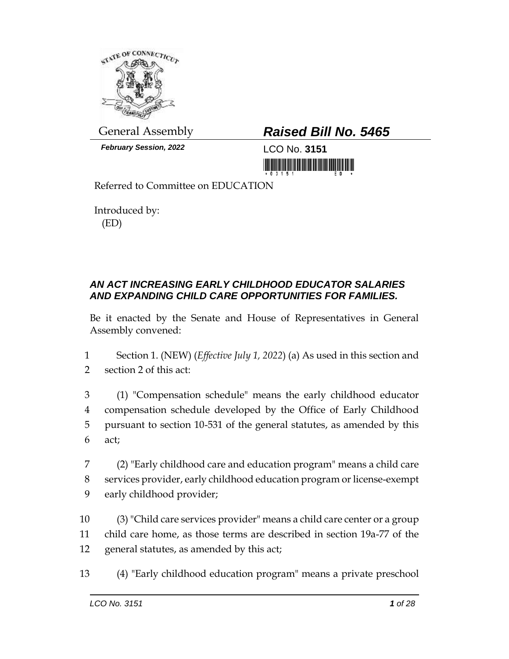

*February Session, 2022* LCO No. **3151**

## General Assembly *Raised Bill No. 5465*

<u> III MARIJINI MATIJI MATIJI MATIJI MATIJI MATIJI MATIJI MATIJI MATIJI MATIJI MATIJI MATIJI MATIJI MATIJI MATIJ</u>

Referred to Committee on EDUCATION

Introduced by: (ED)

## *AN ACT INCREASING EARLY CHILDHOOD EDUCATOR SALARIES AND EXPANDING CHILD CARE OPPORTUNITIES FOR FAMILIES.*

Be it enacted by the Senate and House of Representatives in General Assembly convened:

- 1 Section 1. (NEW) (*Effective July 1, 2022*) (a) As used in this section and 2 section 2 of this act:
- 3 (1) "Compensation schedule" means the early childhood educator 4 compensation schedule developed by the Office of Early Childhood 5 pursuant to section 10-531 of the general statutes, as amended by this 6 act;
- 7 (2) "Early childhood care and education program" means a child care 8 services provider, early childhood education program or license-exempt 9 early childhood provider;
- 10 (3) "Child care services provider" means a child care center or a group 11 child care home, as those terms are described in section 19a-77 of the 12 general statutes, as amended by this act;
- 13 (4) "Early childhood education program" means a private preschool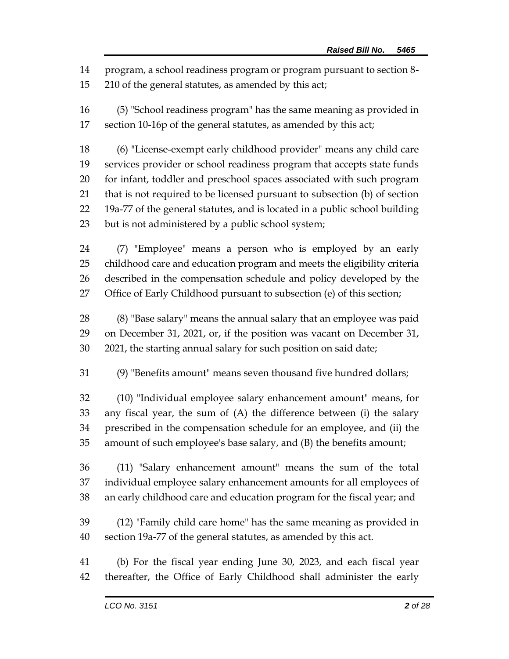program, a school readiness program or program pursuant to section 8-

210 of the general statutes, as amended by this act;

 (5) "School readiness program" has the same meaning as provided in section 10-16p of the general statutes, as amended by this act;

 (6) "License-exempt early childhood provider" means any child care services provider or school readiness program that accepts state funds for infant, toddler and preschool spaces associated with such program that is not required to be licensed pursuant to subsection (b) of section 19a-77 of the general statutes, and is located in a public school building but is not administered by a public school system;

 (7) "Employee" means a person who is employed by an early childhood care and education program and meets the eligibility criteria described in the compensation schedule and policy developed by the Office of Early Childhood pursuant to subsection (e) of this section;

 (8) "Base salary" means the annual salary that an employee was paid on December 31, 2021, or, if the position was vacant on December 31, 2021, the starting annual salary for such position on said date;

(9) "Benefits amount" means seven thousand five hundred dollars;

 (10) "Individual employee salary enhancement amount" means, for any fiscal year, the sum of (A) the difference between (i) the salary prescribed in the compensation schedule for an employee, and (ii) the amount of such employee's base salary, and (B) the benefits amount;

 (11) "Salary enhancement amount" means the sum of the total individual employee salary enhancement amounts for all employees of an early childhood care and education program for the fiscal year; and

 (12) "Family child care home" has the same meaning as provided in section 19a-77 of the general statutes, as amended by this act.

 (b) For the fiscal year ending June 30, 2023, and each fiscal year thereafter, the Office of Early Childhood shall administer the early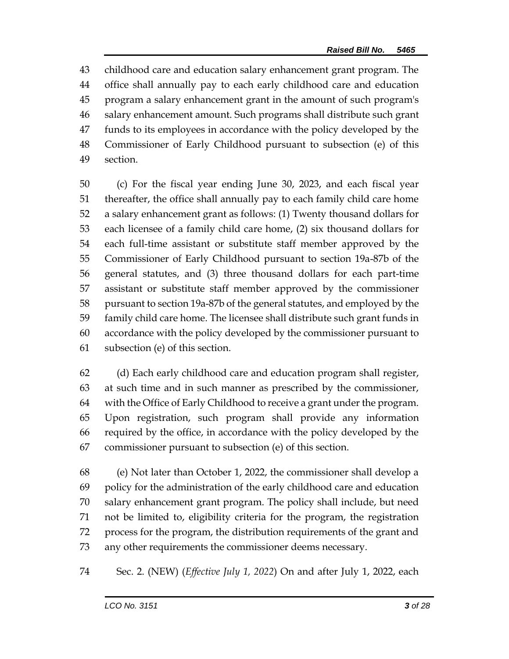childhood care and education salary enhancement grant program. The office shall annually pay to each early childhood care and education program a salary enhancement grant in the amount of such program's salary enhancement amount. Such programs shall distribute such grant funds to its employees in accordance with the policy developed by the Commissioner of Early Childhood pursuant to subsection (e) of this section.

 (c) For the fiscal year ending June 30, 2023, and each fiscal year thereafter, the office shall annually pay to each family child care home a salary enhancement grant as follows: (1) Twenty thousand dollars for each licensee of a family child care home, (2) six thousand dollars for each full-time assistant or substitute staff member approved by the Commissioner of Early Childhood pursuant to section 19a-87b of the general statutes, and (3) three thousand dollars for each part-time assistant or substitute staff member approved by the commissioner pursuant to section 19a-87b of the general statutes, and employed by the family child care home. The licensee shall distribute such grant funds in accordance with the policy developed by the commissioner pursuant to subsection (e) of this section.

 (d) Each early childhood care and education program shall register, at such time and in such manner as prescribed by the commissioner, with the Office of Early Childhood to receive a grant under the program. Upon registration, such program shall provide any information required by the office, in accordance with the policy developed by the commissioner pursuant to subsection (e) of this section.

 (e) Not later than October 1, 2022, the commissioner shall develop a policy for the administration of the early childhood care and education salary enhancement grant program. The policy shall include, but need not be limited to, eligibility criteria for the program, the registration process for the program, the distribution requirements of the grant and any other requirements the commissioner deems necessary.

Sec. 2. (NEW) (*Effective July 1, 2022*) On and after July 1, 2022, each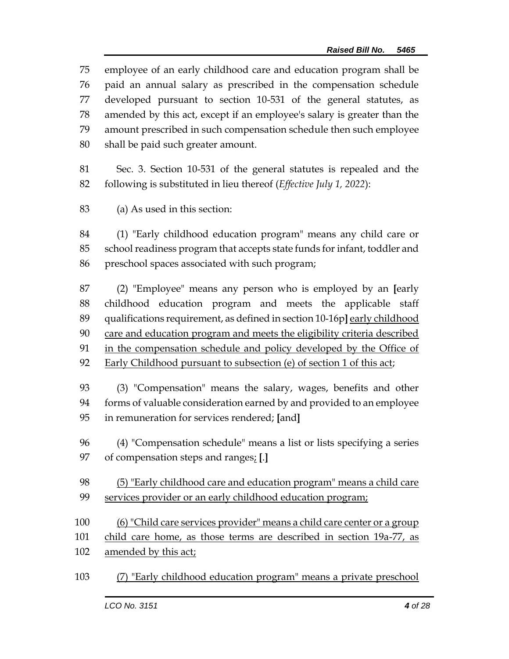employee of an early childhood care and education program shall be paid an annual salary as prescribed in the compensation schedule developed pursuant to section 10-531 of the general statutes, as amended by this act, except if an employee's salary is greater than the amount prescribed in such compensation schedule then such employee shall be paid such greater amount.

 Sec. 3. Section 10-531 of the general statutes is repealed and the following is substituted in lieu thereof (*Effective July 1, 2022*):

(a) As used in this section:

 (1) "Early childhood education program" means any child care or school readiness program that accepts state funds for infant, toddler and preschool spaces associated with such program;

 (2) "Employee" means any person who is employed by an **[**early childhood education program and meets the applicable staff 89 qualifications requirement, as defined in section 10-16p] early childhood care and education program and meets the eligibility criteria described in the compensation schedule and policy developed by the Office of Early Childhood pursuant to subsection (e) of section 1 of this act;

 (3) "Compensation" means the salary, wages, benefits and other forms of valuable consideration earned by and provided to an employee in remuneration for services rendered; **[**and**]**

 (4) "Compensation schedule" means a list or lists specifying a series of compensation steps and ranges; **[**.**]**

 (5) "Early childhood care and education program" means a child care services provider or an early childhood education program;

(6) "Child care services provider" means a child care center or a group

child care home, as those terms are described in section 19a-77, as

amended by this act;

(7) "Early childhood education program" means a private preschool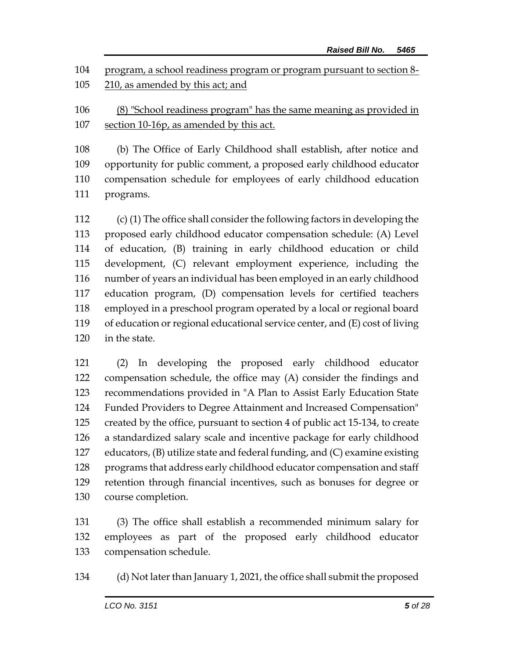program, a school readiness program or program pursuant to section 8- 210, as amended by this act; and

 (8) "School readiness program" has the same meaning as provided in section 10-16p, as amended by this act.

 (b) The Office of Early Childhood shall establish, after notice and opportunity for public comment, a proposed early childhood educator compensation schedule for employees of early childhood education programs.

 (c) (1) The office shall consider the following factors in developing the proposed early childhood educator compensation schedule: (A) Level of education, (B) training in early childhood education or child development, (C) relevant employment experience, including the number of years an individual has been employed in an early childhood education program, (D) compensation levels for certified teachers employed in a preschool program operated by a local or regional board of education or regional educational service center, and (E) cost of living in the state.

 (2) In developing the proposed early childhood educator compensation schedule, the office may (A) consider the findings and recommendations provided in "A Plan to Assist Early Education State Funded Providers to Degree Attainment and Increased Compensation" created by the office, pursuant to section 4 of public act 15-134, to create a standardized salary scale and incentive package for early childhood educators, (B) utilize state and federal funding, and (C) examine existing programs that address early childhood educator compensation and staff retention through financial incentives, such as bonuses for degree or course completion.

 (3) The office shall establish a recommended minimum salary for employees as part of the proposed early childhood educator compensation schedule.

(d) Not later than January 1, 2021, the office shall submit the proposed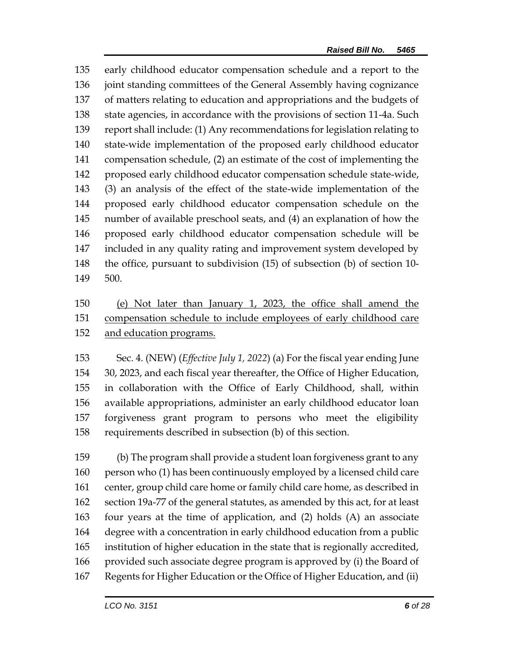early childhood educator compensation schedule and a report to the joint standing committees of the General Assembly having cognizance of matters relating to education and appropriations and the budgets of state agencies, in accordance with the provisions of section 11-4a. Such report shall include: (1) Any recommendations for legislation relating to state-wide implementation of the proposed early childhood educator compensation schedule, (2) an estimate of the cost of implementing the proposed early childhood educator compensation schedule state-wide, (3) an analysis of the effect of the state-wide implementation of the proposed early childhood educator compensation schedule on the number of available preschool seats, and (4) an explanation of how the proposed early childhood educator compensation schedule will be included in any quality rating and improvement system developed by the office, pursuant to subdivision (15) of subsection (b) of section 10- 500.

 (e) Not later than January 1, 2023, the office shall amend the compensation schedule to include employees of early childhood care and education programs.

 Sec. 4. (NEW) (*Effective July 1, 2022*) (a) For the fiscal year ending June 30, 2023, and each fiscal year thereafter, the Office of Higher Education, in collaboration with the Office of Early Childhood, shall, within available appropriations, administer an early childhood educator loan forgiveness grant program to persons who meet the eligibility requirements described in subsection (b) of this section.

 (b) The program shall provide a student loan forgiveness grant to any person who (1) has been continuously employed by a licensed child care center, group child care home or family child care home, as described in section 19a-77 of the general statutes, as amended by this act, for at least four years at the time of application, and (2) holds (A) an associate degree with a concentration in early childhood education from a public institution of higher education in the state that is regionally accredited, provided such associate degree program is approved by (i) the Board of Regents for Higher Education or the Office of Higher Education, and (ii)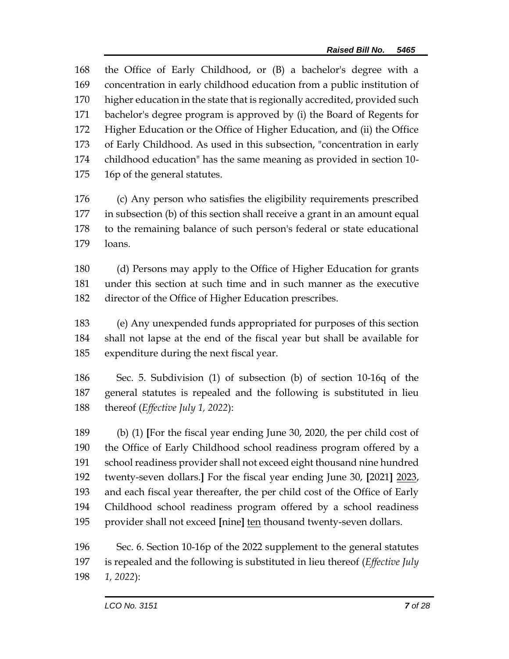the Office of Early Childhood, or (B) a bachelor's degree with a concentration in early childhood education from a public institution of higher education in the state that is regionally accredited, provided such bachelor's degree program is approved by (i) the Board of Regents for Higher Education or the Office of Higher Education, and (ii) the Office of Early Childhood. As used in this subsection, "concentration in early childhood education" has the same meaning as provided in section 10- 16p of the general statutes.

 (c) Any person who satisfies the eligibility requirements prescribed in subsection (b) of this section shall receive a grant in an amount equal to the remaining balance of such person's federal or state educational loans.

 (d) Persons may apply to the Office of Higher Education for grants under this section at such time and in such manner as the executive director of the Office of Higher Education prescribes.

 (e) Any unexpended funds appropriated for purposes of this section shall not lapse at the end of the fiscal year but shall be available for expenditure during the next fiscal year.

 Sec. 5. Subdivision (1) of subsection (b) of section 10-16q of the general statutes is repealed and the following is substituted in lieu thereof (*Effective July 1, 2022*):

 (b) (1) **[**For the fiscal year ending June 30, 2020, the per child cost of the Office of Early Childhood school readiness program offered by a school readiness provider shall not exceed eight thousand nine hundred twenty-seven dollars.**]** For the fiscal year ending June 30, **[**2021**]** 2023, and each fiscal year thereafter, the per child cost of the Office of Early Childhood school readiness program offered by a school readiness provider shall not exceed **[**nine**]** ten thousand twenty-seven dollars.

 Sec. 6. Section 10-16p of the 2022 supplement to the general statutes is repealed and the following is substituted in lieu thereof (*Effective July 1, 2022*):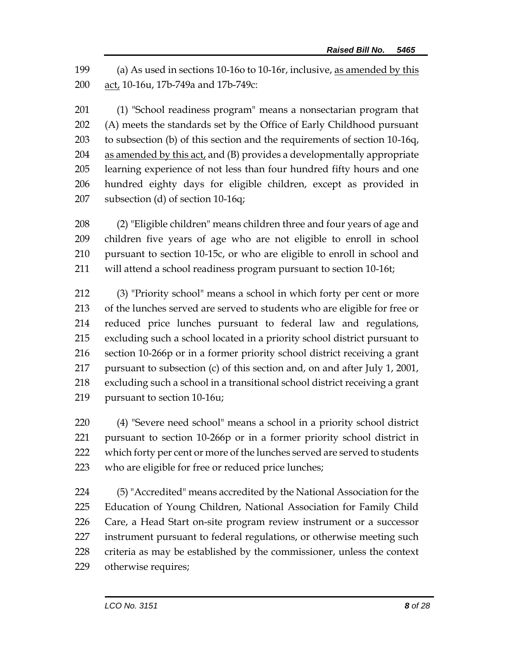(a) As used in sections 10-16o to 10-16r, inclusive, as amended by this act, 10-16u, 17b-749a and 17b-749c:

 (1) "School readiness program" means a nonsectarian program that (A) meets the standards set by the Office of Early Childhood pursuant to subsection (b) of this section and the requirements of section 10-16q, as amended by this act, and (B) provides a developmentally appropriate learning experience of not less than four hundred fifty hours and one hundred eighty days for eligible children, except as provided in subsection (d) of section 10-16q;

 (2) "Eligible children" means children three and four years of age and children five years of age who are not eligible to enroll in school pursuant to section 10-15c, or who are eligible to enroll in school and will attend a school readiness program pursuant to section 10-16t;

 (3) "Priority school" means a school in which forty per cent or more of the lunches served are served to students who are eligible for free or reduced price lunches pursuant to federal law and regulations, excluding such a school located in a priority school district pursuant to section 10-266p or in a former priority school district receiving a grant pursuant to subsection (c) of this section and, on and after July 1, 2001, excluding such a school in a transitional school district receiving a grant pursuant to section 10-16u;

 (4) "Severe need school" means a school in a priority school district pursuant to section 10-266p or in a former priority school district in 222 which forty per cent or more of the lunches served are served to students who are eligible for free or reduced price lunches;

 (5) "Accredited" means accredited by the National Association for the Education of Young Children, National Association for Family Child Care, a Head Start on-site program review instrument or a successor instrument pursuant to federal regulations, or otherwise meeting such criteria as may be established by the commissioner, unless the context otherwise requires;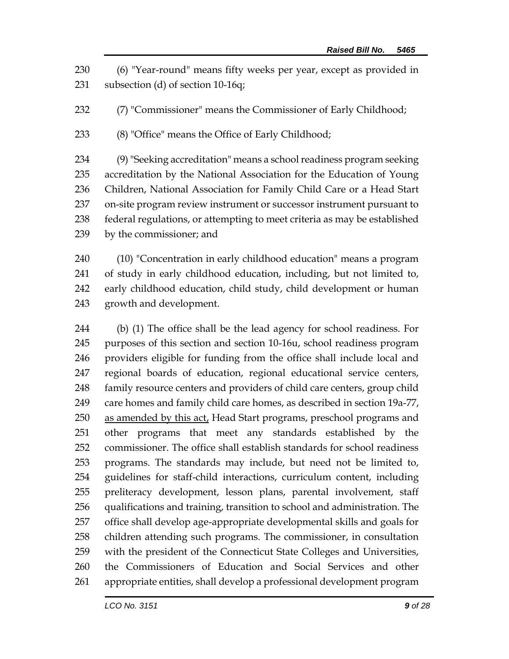(6) "Year-round" means fifty weeks per year, except as provided in subsection (d) of section 10-16q;

(7) "Commissioner" means the Commissioner of Early Childhood;

(8) "Office" means the Office of Early Childhood;

 (9) "Seeking accreditation" means a school readiness program seeking accreditation by the National Association for the Education of Young Children, National Association for Family Child Care or a Head Start on-site program review instrument or successor instrument pursuant to federal regulations, or attempting to meet criteria as may be established by the commissioner; and

 (10) "Concentration in early childhood education" means a program of study in early childhood education, including, but not limited to, early childhood education, child study, child development or human growth and development.

 (b) (1) The office shall be the lead agency for school readiness. For purposes of this section and section 10-16u, school readiness program providers eligible for funding from the office shall include local and regional boards of education, regional educational service centers, family resource centers and providers of child care centers, group child 249 care homes and family child care homes, as described in section 19a-77, 250 as amended by this act, Head Start programs, preschool programs and other programs that meet any standards established by the commissioner. The office shall establish standards for school readiness programs. The standards may include, but need not be limited to, guidelines for staff-child interactions, curriculum content, including preliteracy development, lesson plans, parental involvement, staff qualifications and training, transition to school and administration. The office shall develop age-appropriate developmental skills and goals for children attending such programs. The commissioner, in consultation with the president of the Connecticut State Colleges and Universities, the Commissioners of Education and Social Services and other appropriate entities, shall develop a professional development program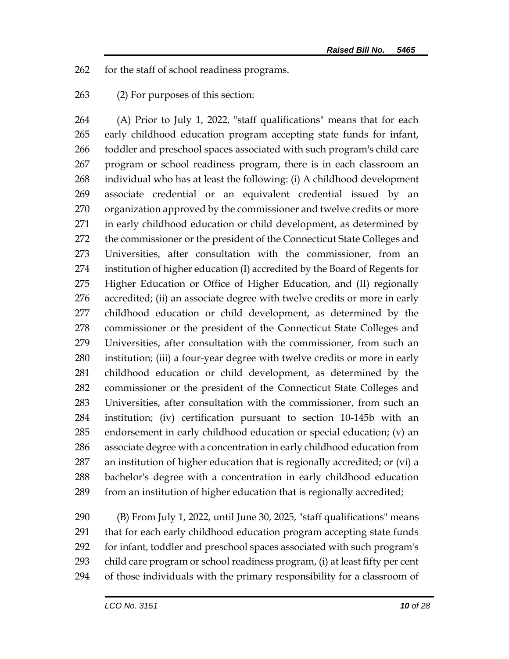for the staff of school readiness programs.

(2) For purposes of this section:

 (A) Prior to July 1, 2022, "staff qualifications" means that for each early childhood education program accepting state funds for infant, toddler and preschool spaces associated with such program's child care program or school readiness program, there is in each classroom an individual who has at least the following: (i) A childhood development associate credential or an equivalent credential issued by an organization approved by the commissioner and twelve credits or more in early childhood education or child development, as determined by 272 the commissioner or the president of the Connecticut State Colleges and Universities, after consultation with the commissioner, from an institution of higher education (I) accredited by the Board of Regents for Higher Education or Office of Higher Education, and (II) regionally accredited; (ii) an associate degree with twelve credits or more in early childhood education or child development, as determined by the commissioner or the president of the Connecticut State Colleges and Universities, after consultation with the commissioner, from such an institution; (iii) a four-year degree with twelve credits or more in early childhood education or child development, as determined by the commissioner or the president of the Connecticut State Colleges and Universities, after consultation with the commissioner, from such an institution; (iv) certification pursuant to section 10-145b with an endorsement in early childhood education or special education; (v) an associate degree with a concentration in early childhood education from an institution of higher education that is regionally accredited; or (vi) a bachelor's degree with a concentration in early childhood education from an institution of higher education that is regionally accredited;

 (B) From July 1, 2022, until June 30, 2025, "staff qualifications" means that for each early childhood education program accepting state funds for infant, toddler and preschool spaces associated with such program's child care program or school readiness program, (i) at least fifty per cent of those individuals with the primary responsibility for a classroom of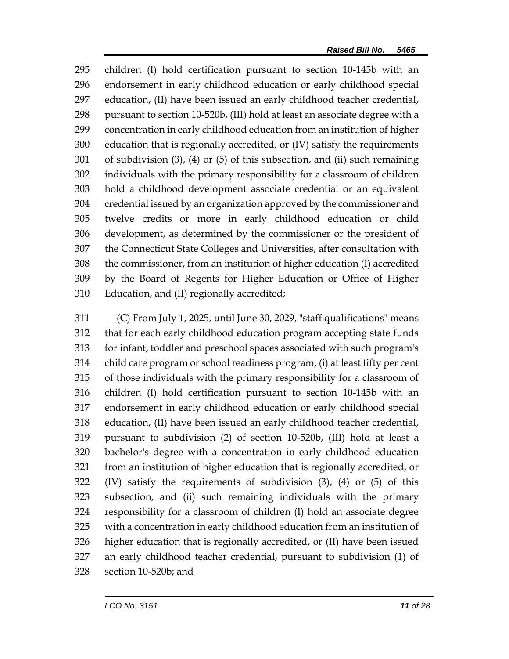children (I) hold certification pursuant to section 10-145b with an endorsement in early childhood education or early childhood special education, (II) have been issued an early childhood teacher credential, pursuant to section 10-520b, (III) hold at least an associate degree with a concentration in early childhood education from an institution of higher education that is regionally accredited, or (IV) satisfy the requirements of subdivision (3), (4) or (5) of this subsection, and (ii) such remaining individuals with the primary responsibility for a classroom of children hold a childhood development associate credential or an equivalent credential issued by an organization approved by the commissioner and twelve credits or more in early childhood education or child development, as determined by the commissioner or the president of the Connecticut State Colleges and Universities, after consultation with the commissioner, from an institution of higher education (I) accredited by the Board of Regents for Higher Education or Office of Higher Education, and (II) regionally accredited;

 (C) From July 1, 2025, until June 30, 2029, "staff qualifications" means that for each early childhood education program accepting state funds for infant, toddler and preschool spaces associated with such program's child care program or school readiness program, (i) at least fifty per cent of those individuals with the primary responsibility for a classroom of children (I) hold certification pursuant to section 10-145b with an endorsement in early childhood education or early childhood special education, (II) have been issued an early childhood teacher credential, pursuant to subdivision (2) of section 10-520b, (III) hold at least a bachelor's degree with a concentration in early childhood education from an institution of higher education that is regionally accredited, or (IV) satisfy the requirements of subdivision (3), (4) or (5) of this subsection, and (ii) such remaining individuals with the primary responsibility for a classroom of children (I) hold an associate degree with a concentration in early childhood education from an institution of higher education that is regionally accredited, or (II) have been issued an early childhood teacher credential, pursuant to subdivision (1) of section 10-520b; and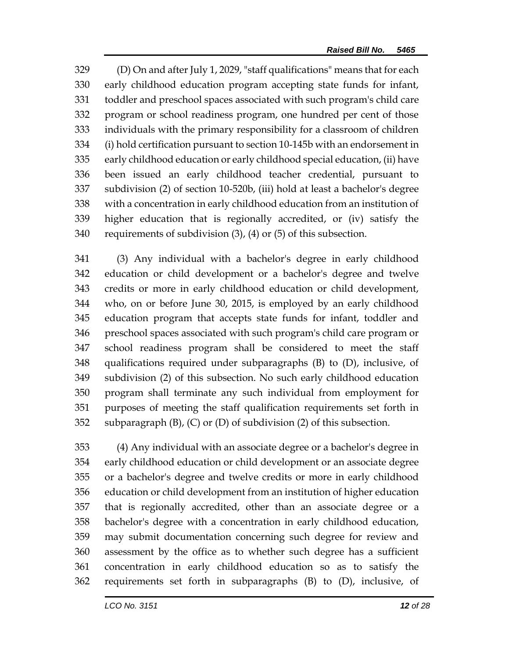(D) On and after July 1, 2029, "staff qualifications" means that for each early childhood education program accepting state funds for infant, toddler and preschool spaces associated with such program's child care program or school readiness program, one hundred per cent of those individuals with the primary responsibility for a classroom of children (i) hold certification pursuant to section 10-145b with an endorsement in early childhood education or early childhood special education, (ii) have been issued an early childhood teacher credential, pursuant to subdivision (2) of section 10-520b, (iii) hold at least a bachelor's degree with a concentration in early childhood education from an institution of higher education that is regionally accredited, or (iv) satisfy the requirements of subdivision (3), (4) or (5) of this subsection.

 (3) Any individual with a bachelor's degree in early childhood education or child development or a bachelor's degree and twelve credits or more in early childhood education or child development, who, on or before June 30, 2015, is employed by an early childhood education program that accepts state funds for infant, toddler and preschool spaces associated with such program's child care program or school readiness program shall be considered to meet the staff qualifications required under subparagraphs (B) to (D), inclusive, of subdivision (2) of this subsection. No such early childhood education program shall terminate any such individual from employment for purposes of meeting the staff qualification requirements set forth in 352 subparagraph  $(B)$ ,  $(C)$  or  $(D)$  of subdivision  $(2)$  of this subsection.

 (4) Any individual with an associate degree or a bachelor's degree in early childhood education or child development or an associate degree or a bachelor's degree and twelve credits or more in early childhood education or child development from an institution of higher education that is regionally accredited, other than an associate degree or a bachelor's degree with a concentration in early childhood education, may submit documentation concerning such degree for review and assessment by the office as to whether such degree has a sufficient concentration in early childhood education so as to satisfy the requirements set forth in subparagraphs (B) to (D), inclusive, of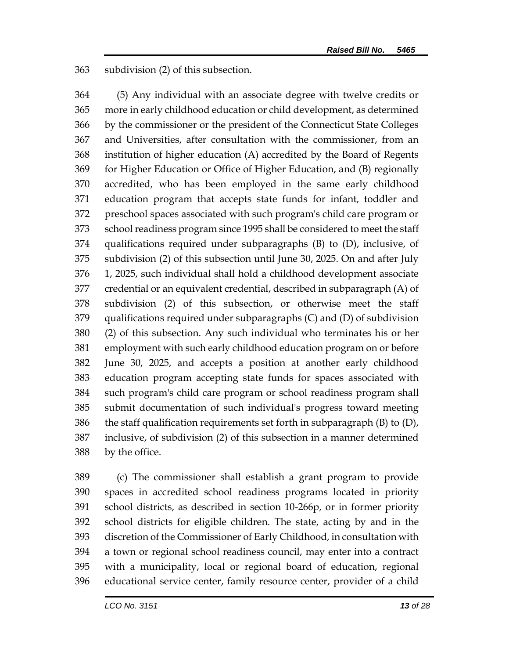subdivision (2) of this subsection.

 (5) Any individual with an associate degree with twelve credits or more in early childhood education or child development, as determined by the commissioner or the president of the Connecticut State Colleges and Universities, after consultation with the commissioner, from an institution of higher education (A) accredited by the Board of Regents for Higher Education or Office of Higher Education, and (B) regionally accredited, who has been employed in the same early childhood education program that accepts state funds for infant, toddler and preschool spaces associated with such program's child care program or school readiness program since 1995 shall be considered to meet the staff qualifications required under subparagraphs (B) to (D), inclusive, of subdivision (2) of this subsection until June 30, 2025. On and after July 1, 2025, such individual shall hold a childhood development associate credential or an equivalent credential, described in subparagraph (A) of subdivision (2) of this subsection, or otherwise meet the staff qualifications required under subparagraphs (C) and (D) of subdivision (2) of this subsection. Any such individual who terminates his or her employment with such early childhood education program on or before June 30, 2025, and accepts a position at another early childhood education program accepting state funds for spaces associated with such program's child care program or school readiness program shall submit documentation of such individual's progress toward meeting 386 the staff qualification requirements set forth in subparagraph  $(B)$  to  $(D)$ , inclusive, of subdivision (2) of this subsection in a manner determined by the office.

 (c) The commissioner shall establish a grant program to provide spaces in accredited school readiness programs located in priority school districts, as described in section 10-266p, or in former priority school districts for eligible children. The state, acting by and in the discretion of the Commissioner of Early Childhood, in consultation with a town or regional school readiness council, may enter into a contract with a municipality, local or regional board of education, regional educational service center, family resource center, provider of a child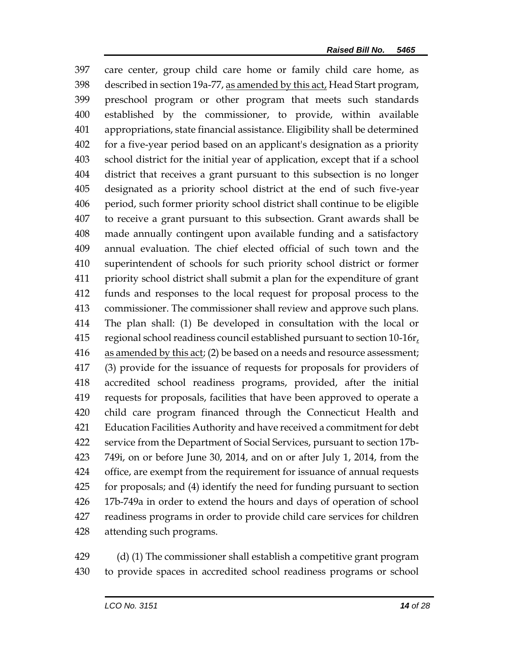care center, group child care home or family child care home, as described in section 19a-77, as amended by this act, Head Start program, preschool program or other program that meets such standards established by the commissioner, to provide, within available appropriations, state financial assistance. Eligibility shall be determined for a five-year period based on an applicant's designation as a priority school district for the initial year of application, except that if a school district that receives a grant pursuant to this subsection is no longer designated as a priority school district at the end of such five-year period, such former priority school district shall continue to be eligible to receive a grant pursuant to this subsection. Grant awards shall be made annually contingent upon available funding and a satisfactory annual evaluation. The chief elected official of such town and the superintendent of schools for such priority school district or former priority school district shall submit a plan for the expenditure of grant funds and responses to the local request for proposal process to the commissioner. The commissioner shall review and approve such plans. The plan shall: (1) Be developed in consultation with the local or 415 regional school readiness council established pursuant to section 10-16r. as amended by this act; (2) be based on a needs and resource assessment; (3) provide for the issuance of requests for proposals for providers of accredited school readiness programs, provided, after the initial requests for proposals, facilities that have been approved to operate a child care program financed through the Connecticut Health and Education Facilities Authority and have received a commitment for debt service from the Department of Social Services, pursuant to section 17b- 749i, on or before June 30, 2014, and on or after July 1, 2014, from the office, are exempt from the requirement for issuance of annual requests for proposals; and (4) identify the need for funding pursuant to section 17b-749a in order to extend the hours and days of operation of school readiness programs in order to provide child care services for children attending such programs.

 (d) (1) The commissioner shall establish a competitive grant program to provide spaces in accredited school readiness programs or school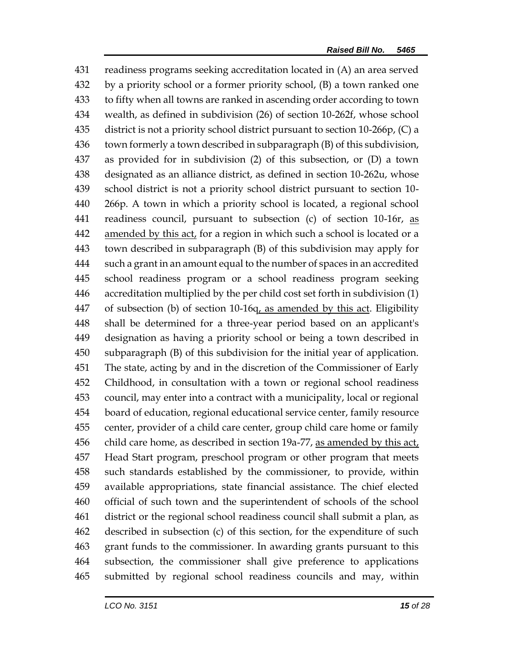readiness programs seeking accreditation located in (A) an area served by a priority school or a former priority school, (B) a town ranked one to fifty when all towns are ranked in ascending order according to town wealth, as defined in subdivision (26) of section 10-262f, whose school district is not a priority school district pursuant to section 10-266p, (C) a town formerly a town described in subparagraph (B) of this subdivision, as provided for in subdivision (2) of this subsection, or (D) a town designated as an alliance district, as defined in section 10-262u, whose school district is not a priority school district pursuant to section 10- 266p. A town in which a priority school is located, a regional school 441 readiness council, pursuant to subsection (c) of section 10-16r, as amended by this act, for a region in which such a school is located or a town described in subparagraph (B) of this subdivision may apply for such a grant in an amount equal to the number of spaces in an accredited school readiness program or a school readiness program seeking accreditation multiplied by the per child cost set forth in subdivision (1) of subsection (b) of section 10-16q, as amended by this act. Eligibility shall be determined for a three-year period based on an applicant's designation as having a priority school or being a town described in subparagraph (B) of this subdivision for the initial year of application. The state, acting by and in the discretion of the Commissioner of Early Childhood, in consultation with a town or regional school readiness council, may enter into a contract with a municipality, local or regional board of education, regional educational service center, family resource center, provider of a child care center, group child care home or family 456 child care home, as described in section 19a-77, as amended by this act, Head Start program, preschool program or other program that meets such standards established by the commissioner, to provide, within available appropriations, state financial assistance. The chief elected official of such town and the superintendent of schools of the school district or the regional school readiness council shall submit a plan, as described in subsection (c) of this section, for the expenditure of such grant funds to the commissioner. In awarding grants pursuant to this subsection, the commissioner shall give preference to applications submitted by regional school readiness councils and may, within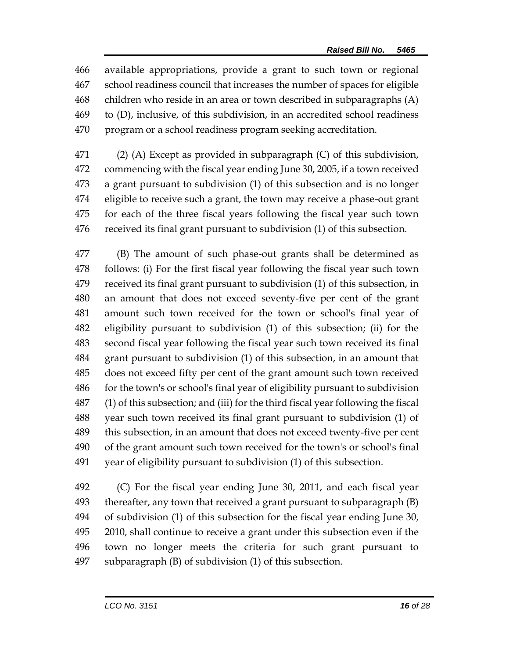available appropriations, provide a grant to such town or regional school readiness council that increases the number of spaces for eligible children who reside in an area or town described in subparagraphs (A) to (D), inclusive, of this subdivision, in an accredited school readiness program or a school readiness program seeking accreditation.

 (2) (A) Except as provided in subparagraph (C) of this subdivision, commencing with the fiscal year ending June 30, 2005, if a town received a grant pursuant to subdivision (1) of this subsection and is no longer eligible to receive such a grant, the town may receive a phase-out grant for each of the three fiscal years following the fiscal year such town received its final grant pursuant to subdivision (1) of this subsection.

 (B) The amount of such phase-out grants shall be determined as follows: (i) For the first fiscal year following the fiscal year such town received its final grant pursuant to subdivision (1) of this subsection, in an amount that does not exceed seventy-five per cent of the grant amount such town received for the town or school's final year of eligibility pursuant to subdivision (1) of this subsection; (ii) for the second fiscal year following the fiscal year such town received its final grant pursuant to subdivision (1) of this subsection, in an amount that does not exceed fifty per cent of the grant amount such town received for the town's or school's final year of eligibility pursuant to subdivision (1) of this subsection; and (iii) for the third fiscal year following the fiscal year such town received its final grant pursuant to subdivision (1) of this subsection, in an amount that does not exceed twenty-five per cent of the grant amount such town received for the town's or school's final year of eligibility pursuant to subdivision (1) of this subsection.

 (C) For the fiscal year ending June 30, 2011, and each fiscal year thereafter, any town that received a grant pursuant to subparagraph (B) of subdivision (1) of this subsection for the fiscal year ending June 30, 2010, shall continue to receive a grant under this subsection even if the town no longer meets the criteria for such grant pursuant to subparagraph (B) of subdivision (1) of this subsection.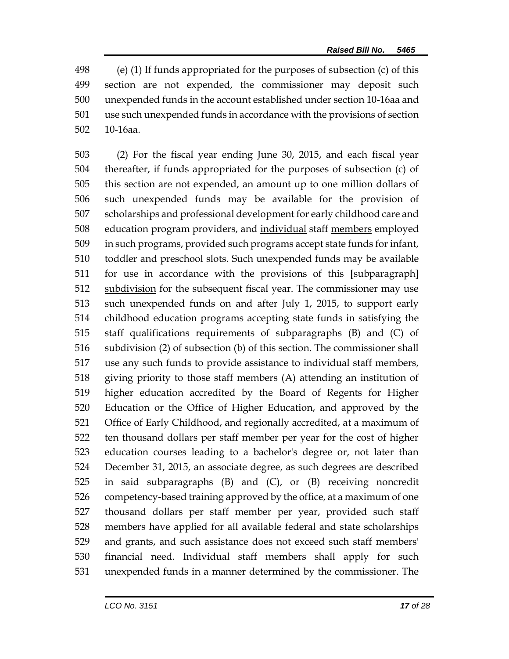(e) (1) If funds appropriated for the purposes of subsection (c) of this section are not expended, the commissioner may deposit such unexpended funds in the account established under section 10-16aa and use such unexpended funds in accordance with the provisions of section 10-16aa.

 (2) For the fiscal year ending June 30, 2015, and each fiscal year thereafter, if funds appropriated for the purposes of subsection (c) of this section are not expended, an amount up to one million dollars of such unexpended funds may be available for the provision of scholarships and professional development for early childhood care and education program providers, and individual staff members employed in such programs, provided such programs accept state funds for infant, toddler and preschool slots. Such unexpended funds may be available for use in accordance with the provisions of this **[**subparagraph**]** 512 subdivision for the subsequent fiscal year. The commissioner may use such unexpended funds on and after July 1, 2015, to support early childhood education programs accepting state funds in satisfying the staff qualifications requirements of subparagraphs (B) and (C) of subdivision (2) of subsection (b) of this section. The commissioner shall use any such funds to provide assistance to individual staff members, giving priority to those staff members (A) attending an institution of higher education accredited by the Board of Regents for Higher Education or the Office of Higher Education, and approved by the Office of Early Childhood, and regionally accredited, at a maximum of ten thousand dollars per staff member per year for the cost of higher education courses leading to a bachelor's degree or, not later than December 31, 2015, an associate degree, as such degrees are described in said subparagraphs (B) and (C), or (B) receiving noncredit competency-based training approved by the office, at a maximum of one thousand dollars per staff member per year, provided such staff members have applied for all available federal and state scholarships and grants, and such assistance does not exceed such staff members' financial need. Individual staff members shall apply for such unexpended funds in a manner determined by the commissioner. The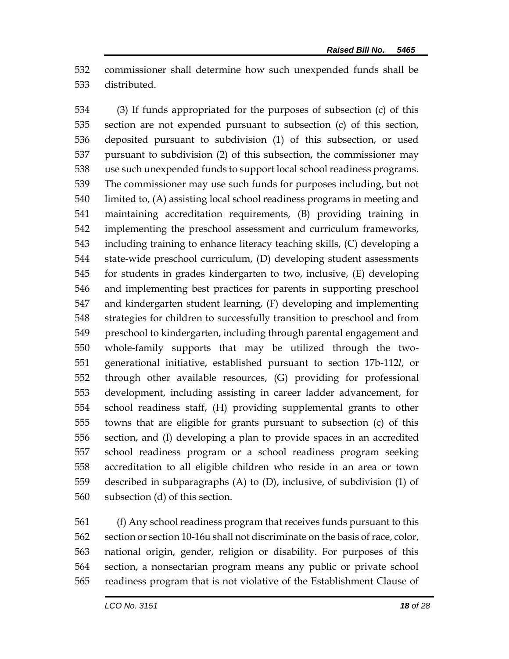commissioner shall determine how such unexpended funds shall be distributed.

 (3) If funds appropriated for the purposes of subsection (c) of this section are not expended pursuant to subsection (c) of this section, deposited pursuant to subdivision (1) of this subsection, or used pursuant to subdivision (2) of this subsection, the commissioner may use such unexpended funds to support local school readiness programs. The commissioner may use such funds for purposes including, but not limited to, (A) assisting local school readiness programs in meeting and maintaining accreditation requirements, (B) providing training in implementing the preschool assessment and curriculum frameworks, including training to enhance literacy teaching skills, (C) developing a state-wide preschool curriculum, (D) developing student assessments for students in grades kindergarten to two, inclusive, (E) developing and implementing best practices for parents in supporting preschool and kindergarten student learning, (F) developing and implementing strategies for children to successfully transition to preschool and from preschool to kindergarten, including through parental engagement and whole-family supports that may be utilized through the two- generational initiative, established pursuant to section 17b-112*l*, or through other available resources, (G) providing for professional development, including assisting in career ladder advancement, for school readiness staff, (H) providing supplemental grants to other towns that are eligible for grants pursuant to subsection (c) of this section, and (I) developing a plan to provide spaces in an accredited school readiness program or a school readiness program seeking accreditation to all eligible children who reside in an area or town described in subparagraphs (A) to (D), inclusive, of subdivision (1) of subsection (d) of this section.

 (f) Any school readiness program that receives funds pursuant to this section or section 10-16u shall not discriminate on the basis of race, color, national origin, gender, religion or disability. For purposes of this section, a nonsectarian program means any public or private school readiness program that is not violative of the Establishment Clause of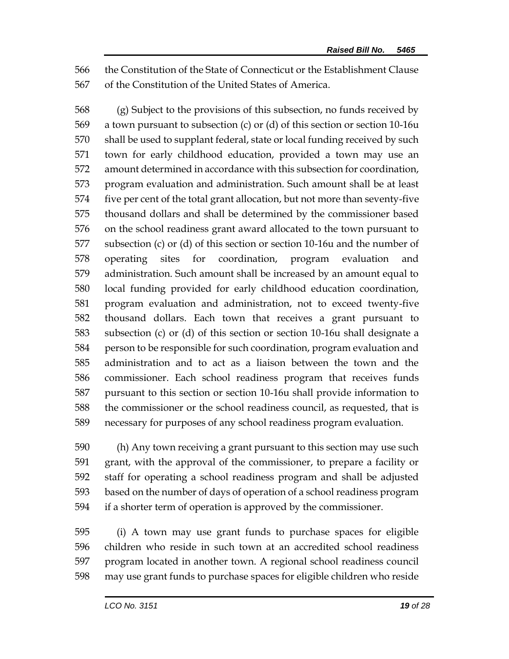the Constitution of the State of Connecticut or the Establishment Clause of the Constitution of the United States of America.

 (g) Subject to the provisions of this subsection, no funds received by a town pursuant to subsection (c) or (d) of this section or section 10-16u shall be used to supplant federal, state or local funding received by such town for early childhood education, provided a town may use an amount determined in accordance with this subsection for coordination, program evaluation and administration. Such amount shall be at least five per cent of the total grant allocation, but not more than seventy-five thousand dollars and shall be determined by the commissioner based on the school readiness grant award allocated to the town pursuant to subsection (c) or (d) of this section or section 10-16u and the number of operating sites for coordination, program evaluation and administration. Such amount shall be increased by an amount equal to local funding provided for early childhood education coordination, program evaluation and administration, not to exceed twenty-five thousand dollars. Each town that receives a grant pursuant to subsection (c) or (d) of this section or section 10-16u shall designate a person to be responsible for such coordination, program evaluation and administration and to act as a liaison between the town and the commissioner. Each school readiness program that receives funds pursuant to this section or section 10-16u shall provide information to the commissioner or the school readiness council, as requested, that is necessary for purposes of any school readiness program evaluation.

 (h) Any town receiving a grant pursuant to this section may use such grant, with the approval of the commissioner, to prepare a facility or staff for operating a school readiness program and shall be adjusted based on the number of days of operation of a school readiness program if a shorter term of operation is approved by the commissioner.

 (i) A town may use grant funds to purchase spaces for eligible children who reside in such town at an accredited school readiness program located in another town. A regional school readiness council may use grant funds to purchase spaces for eligible children who reside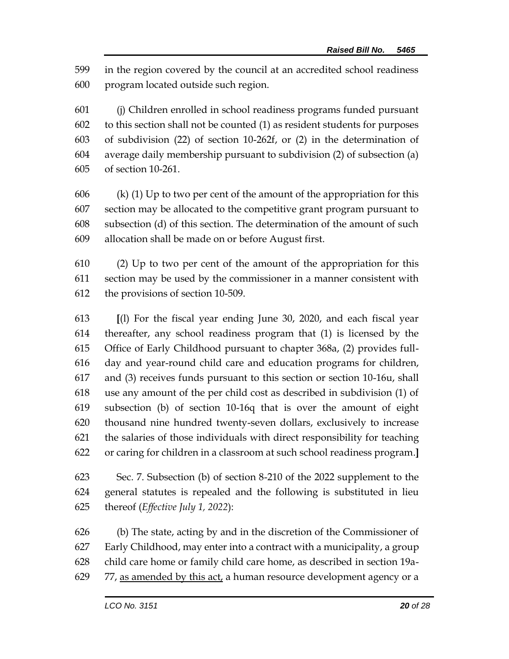in the region covered by the council at an accredited school readiness program located outside such region.

 (j) Children enrolled in school readiness programs funded pursuant to this section shall not be counted (1) as resident students for purposes of subdivision (22) of section 10-262f, or (2) in the determination of average daily membership pursuant to subdivision (2) of subsection (a) of section 10-261.

606 (k) (1) Up to two per cent of the amount of the appropriation for this section may be allocated to the competitive grant program pursuant to subsection (d) of this section. The determination of the amount of such allocation shall be made on or before August first.

 (2) Up to two per cent of the amount of the appropriation for this section may be used by the commissioner in a manner consistent with the provisions of section 10-509.

 **[**(l) For the fiscal year ending June 30, 2020, and each fiscal year thereafter, any school readiness program that (1) is licensed by the Office of Early Childhood pursuant to chapter 368a, (2) provides full- day and year-round child care and education programs for children, and (3) receives funds pursuant to this section or section 10-16u, shall use any amount of the per child cost as described in subdivision (1) of subsection (b) of section 10-16q that is over the amount of eight thousand nine hundred twenty-seven dollars, exclusively to increase the salaries of those individuals with direct responsibility for teaching or caring for children in a classroom at such school readiness program.**]**

 Sec. 7. Subsection (b) of section 8-210 of the 2022 supplement to the general statutes is repealed and the following is substituted in lieu thereof (*Effective July 1, 2022*):

 (b) The state, acting by and in the discretion of the Commissioner of Early Childhood, may enter into a contract with a municipality, a group child care home or family child care home, as described in section 19a-77, as amended by this act, a human resource development agency or a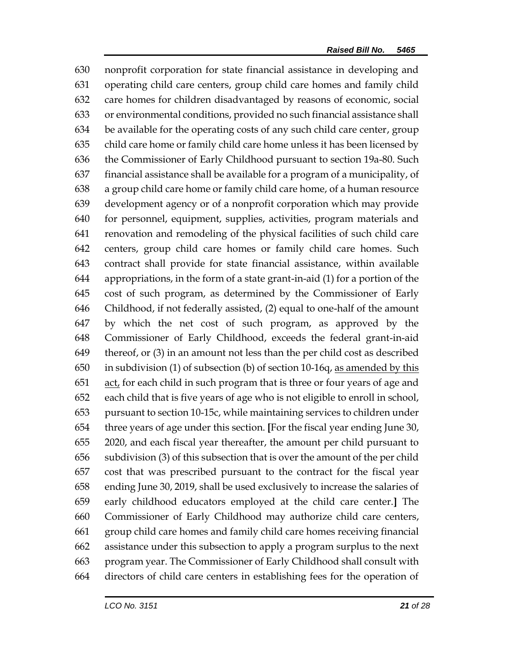nonprofit corporation for state financial assistance in developing and operating child care centers, group child care homes and family child care homes for children disadvantaged by reasons of economic, social or environmental conditions, provided no such financial assistance shall be available for the operating costs of any such child care center, group child care home or family child care home unless it has been licensed by the Commissioner of Early Childhood pursuant to section 19a-80. Such financial assistance shall be available for a program of a municipality, of a group child care home or family child care home, of a human resource development agency or of a nonprofit corporation which may provide for personnel, equipment, supplies, activities, program materials and renovation and remodeling of the physical facilities of such child care centers, group child care homes or family child care homes. Such contract shall provide for state financial assistance, within available appropriations, in the form of a state grant-in-aid (1) for a portion of the cost of such program, as determined by the Commissioner of Early Childhood, if not federally assisted, (2) equal to one-half of the amount by which the net cost of such program, as approved by the Commissioner of Early Childhood, exceeds the federal grant-in-aid thereof, or (3) in an amount not less than the per child cost as described 650 in subdivision (1) of subsection (b) of section 10-16q, as amended by this act, for each child in such program that is three or four years of age and each child that is five years of age who is not eligible to enroll in school, pursuant to section 10-15c, while maintaining services to children under three years of age under this section. **[**For the fiscal year ending June 30, 2020, and each fiscal year thereafter, the amount per child pursuant to subdivision (3) of this subsection that is over the amount of the per child cost that was prescribed pursuant to the contract for the fiscal year ending June 30, 2019, shall be used exclusively to increase the salaries of early childhood educators employed at the child care center.**]** The Commissioner of Early Childhood may authorize child care centers, group child care homes and family child care homes receiving financial assistance under this subsection to apply a program surplus to the next program year. The Commissioner of Early Childhood shall consult with directors of child care centers in establishing fees for the operation of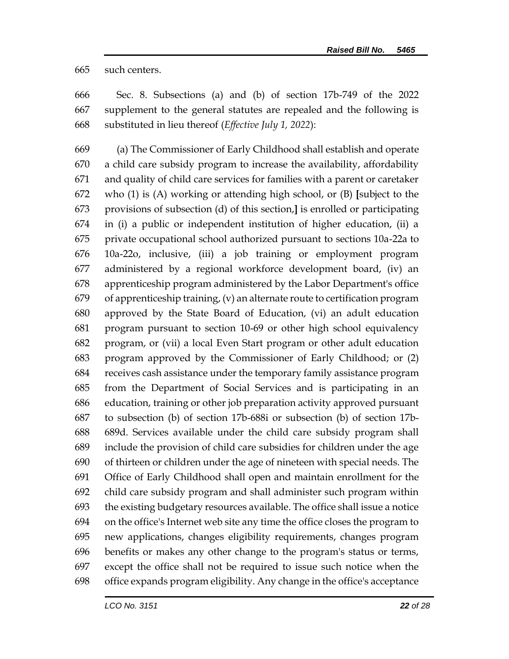such centers.

 Sec. 8. Subsections (a) and (b) of section 17b-749 of the 2022 supplement to the general statutes are repealed and the following is substituted in lieu thereof (*Effective July 1, 2022*):

 (a) The Commissioner of Early Childhood shall establish and operate a child care subsidy program to increase the availability, affordability and quality of child care services for families with a parent or caretaker who (1) is (A) working or attending high school, or (B) **[**subject to the provisions of subsection (d) of this section,**]** is enrolled or participating in (i) a public or independent institution of higher education, (ii) a private occupational school authorized pursuant to sections 10a-22a to 10a-22o, inclusive, (iii) a job training or employment program administered by a regional workforce development board, (iv) an apprenticeship program administered by the Labor Department's office of apprenticeship training, (v) an alternate route to certification program approved by the State Board of Education, (vi) an adult education program pursuant to section 10-69 or other high school equivalency program, or (vii) a local Even Start program or other adult education program approved by the Commissioner of Early Childhood; or (2) receives cash assistance under the temporary family assistance program from the Department of Social Services and is participating in an education, training or other job preparation activity approved pursuant to subsection (b) of section 17b-688i or subsection (b) of section 17b- 689d. Services available under the child care subsidy program shall include the provision of child care subsidies for children under the age of thirteen or children under the age of nineteen with special needs. The Office of Early Childhood shall open and maintain enrollment for the child care subsidy program and shall administer such program within the existing budgetary resources available. The office shall issue a notice on the office's Internet web site any time the office closes the program to new applications, changes eligibility requirements, changes program benefits or makes any other change to the program's status or terms, except the office shall not be required to issue such notice when the office expands program eligibility. Any change in the office's acceptance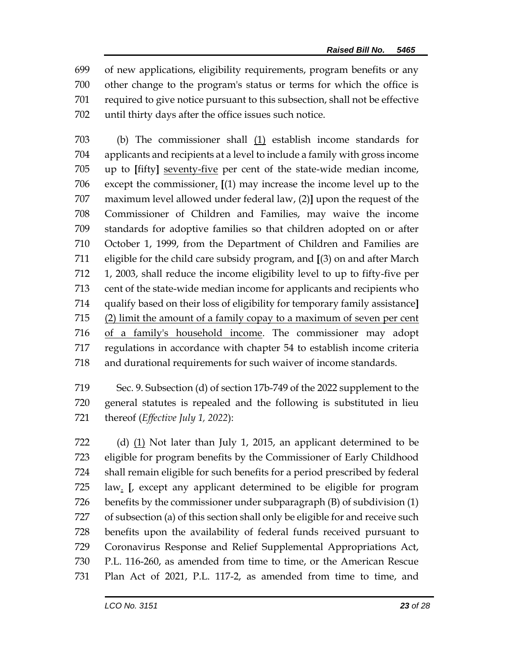of new applications, eligibility requirements, program benefits or any other change to the program's status or terms for which the office is required to give notice pursuant to this subsection, shall not be effective until thirty days after the office issues such notice.

 (b) The commissioner shall (1) establish income standards for applicants and recipients at a level to include a family with gross income up to **[**fifty**]** seventy-five per cent of the state-wide median income, 706 except the commissioner,  $[(1)$  may increase the income level up to the maximum level allowed under federal law, (2)**]** upon the request of the Commissioner of Children and Families, may waive the income standards for adoptive families so that children adopted on or after October 1, 1999, from the Department of Children and Families are eligible for the child care subsidy program, and **[**(3) on and after March 1, 2003, shall reduce the income eligibility level to up to fifty-five per cent of the state-wide median income for applicants and recipients who qualify based on their loss of eligibility for temporary family assistance**]** (2) limit the amount of a family copay to a maximum of seven per cent of a family's household income. The commissioner may adopt regulations in accordance with chapter 54 to establish income criteria and durational requirements for such waiver of income standards.

 Sec. 9. Subsection (d) of section 17b-749 of the 2022 supplement to the general statutes is repealed and the following is substituted in lieu thereof (*Effective July 1, 2022*):

722 (d) (1) Not later than July 1, 2015, an applicant determined to be eligible for program benefits by the Commissioner of Early Childhood shall remain eligible for such benefits for a period prescribed by federal law. **[**, except any applicant determined to be eligible for program benefits by the commissioner under subparagraph (B) of subdivision (1) of subsection (a) of this section shall only be eligible for and receive such benefits upon the availability of federal funds received pursuant to Coronavirus Response and Relief Supplemental Appropriations Act, P.L. 116-260, as amended from time to time, or the American Rescue Plan Act of 2021, P.L. 117-2, as amended from time to time, and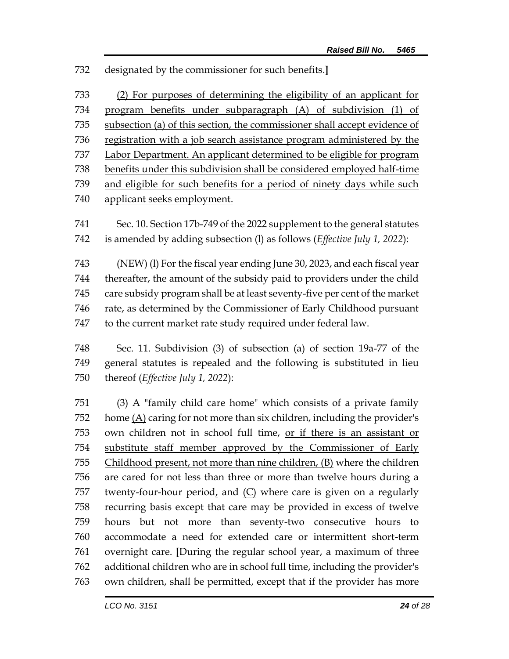designated by the commissioner for such benefits.**]**

 (2) For purposes of determining the eligibility of an applicant for program benefits under subparagraph (A) of subdivision (1) of subsection (a) of this section, the commissioner shall accept evidence of registration with a job search assistance program administered by the Labor Department. An applicant determined to be eligible for program 738 benefits under this subdivision shall be considered employed half-time and eligible for such benefits for a period of ninety days while such applicant seeks employment. Sec. 10. Section 17b-749 of the 2022 supplement to the general statutes is amended by adding subsection (l) as follows (*Effective July 1, 2022*): (NEW) (l) For the fiscal year ending June 30, 2023, and each fiscal year

 thereafter, the amount of the subsidy paid to providers under the child care subsidy program shall be at least seventy-five per cent of the market rate, as determined by the Commissioner of Early Childhood pursuant to the current market rate study required under federal law.

 Sec. 11. Subdivision (3) of subsection (a) of section 19a-77 of the general statutes is repealed and the following is substituted in lieu thereof (*Effective July 1, 2022*):

 (3) A "family child care home" which consists of a private family 752 home  $(A)$  caring for not more than six children, including the provider's own children not in school full time, or if there is an assistant or substitute staff member approved by the Commissioner of Early Childhood present, not more than nine children, (B) where the children are cared for not less than three or more than twelve hours during a twenty-four-hour period, and (C) where care is given on a regularly recurring basis except that care may be provided in excess of twelve hours but not more than seventy-two consecutive hours to accommodate a need for extended care or intermittent short-term overnight care. **[**During the regular school year, a maximum of three additional children who are in school full time, including the provider's own children, shall be permitted, except that if the provider has more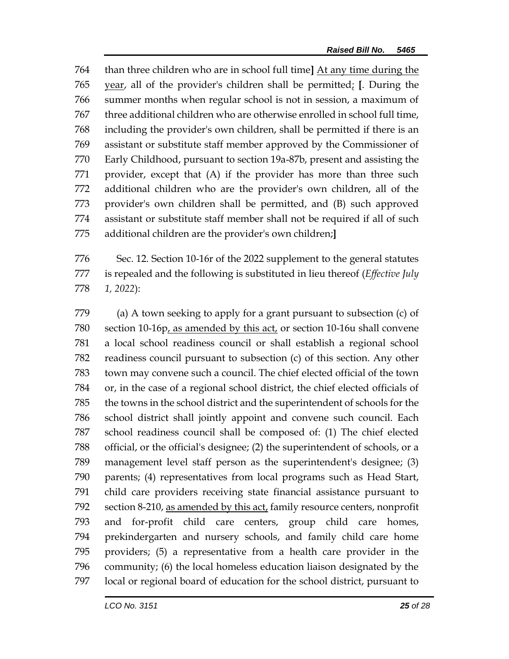than three children who are in school full time**]** At any time during the year, all of the provider's children shall be permitted; **[**. During the summer months when regular school is not in session, a maximum of three additional children who are otherwise enrolled in school full time, including the provider's own children, shall be permitted if there is an assistant or substitute staff member approved by the Commissioner of Early Childhood, pursuant to section 19a-87b, present and assisting the provider, except that (A) if the provider has more than three such additional children who are the provider's own children, all of the provider's own children shall be permitted, and (B) such approved assistant or substitute staff member shall not be required if all of such additional children are the provider's own children;**]**

 Sec. 12. Section 10-16r of the 2022 supplement to the general statutes is repealed and the following is substituted in lieu thereof (*Effective July 1, 2022*):

 (a) A town seeking to apply for a grant pursuant to subsection (c) of section 10-16p, as amended by this act, or section 10-16u shall convene a local school readiness council or shall establish a regional school readiness council pursuant to subsection (c) of this section. Any other town may convene such a council. The chief elected official of the town or, in the case of a regional school district, the chief elected officials of the towns in the school district and the superintendent of schools for the school district shall jointly appoint and convene such council. Each school readiness council shall be composed of: (1) The chief elected official, or the official's designee; (2) the superintendent of schools, or a management level staff person as the superintendent's designee; (3) parents; (4) representatives from local programs such as Head Start, child care providers receiving state financial assistance pursuant to 792 section 8-210, as amended by this act, family resource centers, nonprofit and for-profit child care centers, group child care homes, prekindergarten and nursery schools, and family child care home providers; (5) a representative from a health care provider in the community; (6) the local homeless education liaison designated by the local or regional board of education for the school district, pursuant to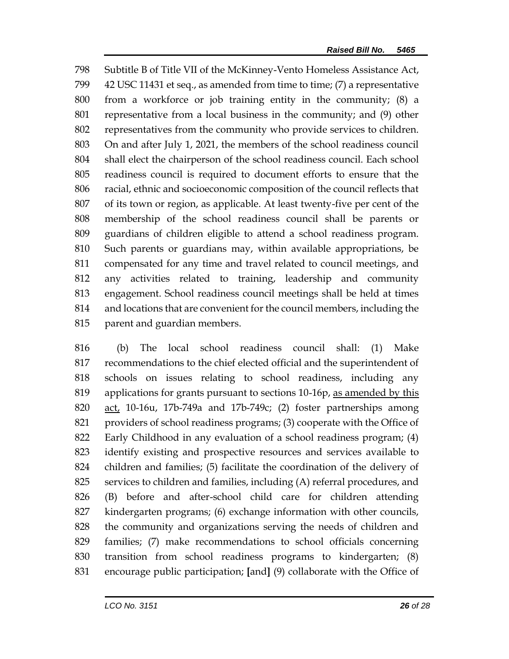Subtitle B of Title VII of the McKinney-Vento Homeless Assistance Act, 42 USC 11431 et seq., as amended from time to time; (7) a representative from a workforce or job training entity in the community; (8) a representative from a local business in the community; and (9) other representatives from the community who provide services to children. On and after July 1, 2021, the members of the school readiness council shall elect the chairperson of the school readiness council. Each school readiness council is required to document efforts to ensure that the racial, ethnic and socioeconomic composition of the council reflects that of its town or region, as applicable. At least twenty-five per cent of the membership of the school readiness council shall be parents or guardians of children eligible to attend a school readiness program. Such parents or guardians may, within available appropriations, be compensated for any time and travel related to council meetings, and any activities related to training, leadership and community engagement. School readiness council meetings shall be held at times and locations that are convenient for the council members, including the parent and guardian members.

 (b) The local school readiness council shall: (1) Make recommendations to the chief elected official and the superintendent of schools on issues relating to school readiness, including any 819 applications for grants pursuant to sections 10-16p, as amended by this act, 10-16u, 17b-749a and 17b-749c; (2) foster partnerships among providers of school readiness programs; (3) cooperate with the Office of Early Childhood in any evaluation of a school readiness program; (4) identify existing and prospective resources and services available to children and families; (5) facilitate the coordination of the delivery of services to children and families, including (A) referral procedures, and (B) before and after-school child care for children attending kindergarten programs; (6) exchange information with other councils, the community and organizations serving the needs of children and families; (7) make recommendations to school officials concerning transition from school readiness programs to kindergarten; (8) encourage public participation; **[**and**]** (9) collaborate with the Office of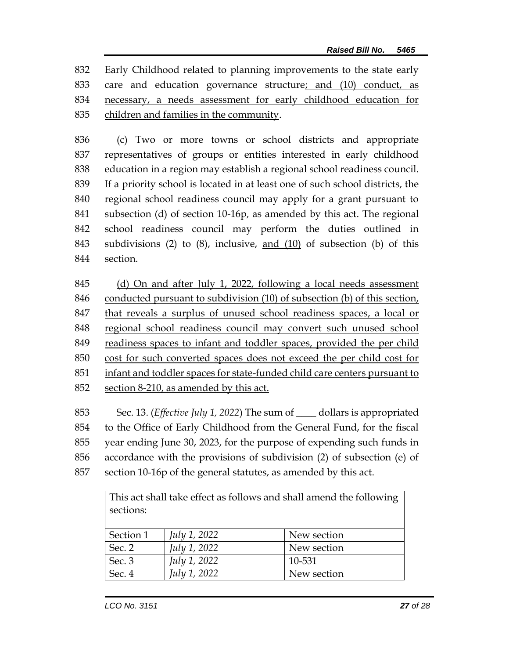Early Childhood related to planning improvements to the state early care and education governance structure; and (10) conduct, as necessary, a needs assessment for early childhood education for children and families in the community.

 (c) Two or more towns or school districts and appropriate representatives of groups or entities interested in early childhood education in a region may establish a regional school readiness council. If a priority school is located in at least one of such school districts, the regional school readiness council may apply for a grant pursuant to subsection (d) of section 10-16p, as amended by this act. The regional school readiness council may perform the duties outlined in subdivisions (2) to (8), inclusive, and (10) of subsection (b) of this section.

 (d) On and after July 1, 2022, following a local needs assessment conducted pursuant to subdivision (10) of subsection (b) of this section, that reveals a surplus of unused school readiness spaces, a local or regional school readiness council may convert such unused school readiness spaces to infant and toddler spaces, provided the per child cost for such converted spaces does not exceed the per child cost for infant and toddler spaces for state-funded child care centers pursuant to section 8-210, as amended by this act.

 Sec. 13. (*Effective July 1, 2022*) The sum of \_\_\_\_ dollars is appropriated to the Office of Early Childhood from the General Fund, for the fiscal year ending June 30, 2023, for the purpose of expending such funds in accordance with the provisions of subdivision (2) of subsection (e) of section 10-16p of the general statutes, as amended by this act.

> This act shall take effect as follows and shall amend the following sections:

| Section 1 | <i>July 1, 2022</i> | New section |
|-----------|---------------------|-------------|
| Sec. 2    | <i>July 1, 2022</i> | New section |
| Sec. 3    | <i>July 1, 2022</i> | 10-531      |
| Sec. 4    | <i>July 1, 2022</i> | New section |
|           |                     |             |